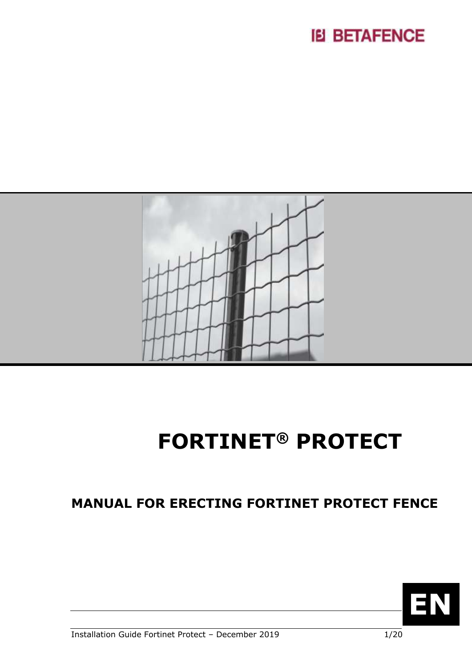

# **FORTINET® PROTECT**

## **MANUAL FOR ERECTING FORTINET PROTECT FENCE**



Installation Guide Fortinet Protect - December 2019 1/20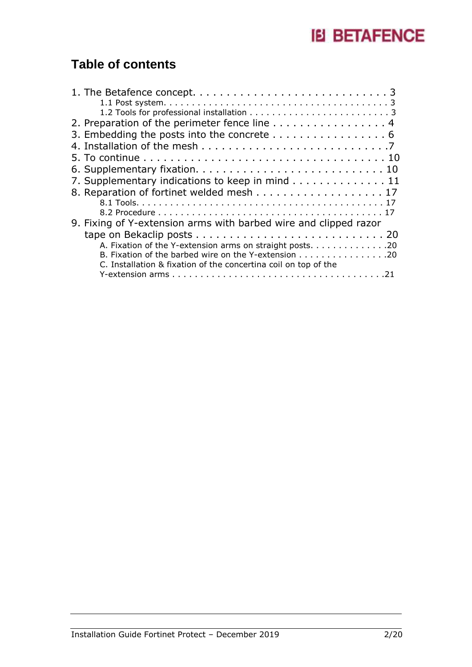### **Table of contents**

| 2. Preparation of the perimeter fence line 4                                         |
|--------------------------------------------------------------------------------------|
| 3. Embedding the posts into the concrete 6                                           |
|                                                                                      |
|                                                                                      |
|                                                                                      |
| 7. Supplementary indications to keep in mind 11                                      |
| 8. Reparation of fortinet welded mesh 17                                             |
|                                                                                      |
|                                                                                      |
| 9. Fixing of Y-extension arms with barbed wire and clipped razor                     |
|                                                                                      |
| A. Fixation of the Y-extension arms on straight posts. 20                            |
| B. Fixation of the barbed wire on the Y-extension 20                                 |
| C. Installation & fixation of the concertina coil on top of the                      |
| Y-extension arms $\dots\dots\dots\dots\dots\dots\dots\dots\dots\dots\dots\dots\dots$ |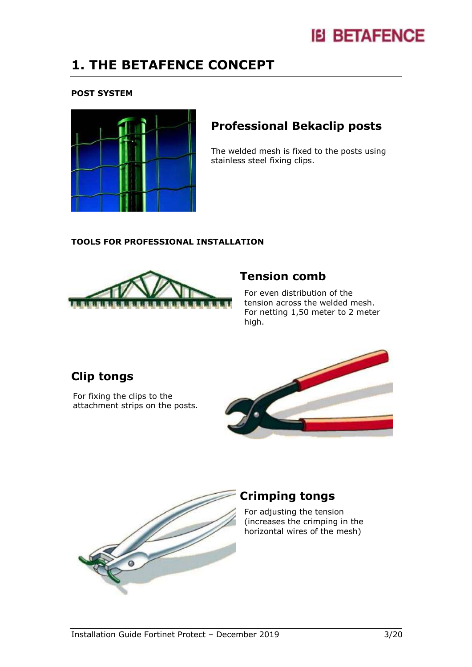## **1. THE BETAFENCE CONCEPT**

#### **POST SYSTEM**



### **Professional Bekaclip posts**

The welded mesh is fixed to the posts using stainless steel fixing clips.

### **TOOLS FOR PROFESSIONAL INSTALLATION**



### **Tension comb**

For even distribution of the tension across the welded mesh. For netting 1,50 meter to 2 meter high.

### **Clip tongs**

For fixing the clips to the attachment strips on the posts.





### **Crimping tongs**

For adjusting the tension (increases the crimping in the horizontal wires of the mesh)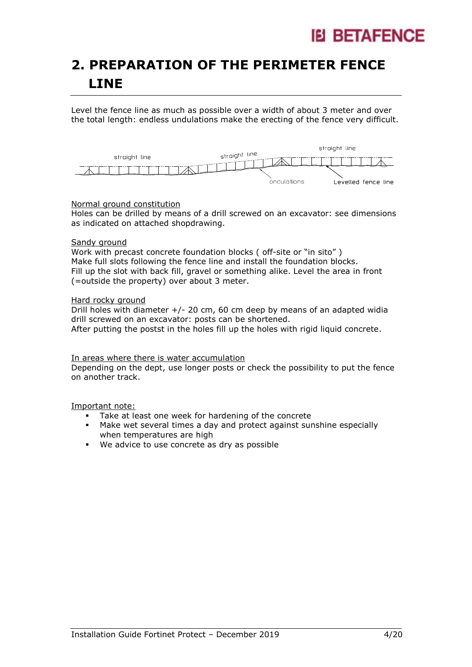## **2. PREPARATION OF THE PERIMETER FENCE LINE**

Level the fence line as much as possible over a width of about 3 meter and over the total length: endless undulations make the erecting of the fence very difficult.



#### Normal ground constitution

Holes can be drilled by means of a drill screwed on an excavator: see dimensions as indicated on attached shopdrawing.

#### Sandy ground

Work with precast concrete foundation blocks ( off-site or "in sito" ) Make full slots following the fence line and install the foundation blocks. Fill up the slot with back fill, gravel or something alike. Level the area in front (=outside the property) over about 3 meter.

#### Hard rocky ground

Drill holes with diameter +/- 20 cm, 60 cm deep by means of an adapted widia drill screwed on an excavator: posts can be shortened.

After putting the postst in the holes fill up the holes with rigid liquid concrete.

#### In areas where there is water accumulation

Depending on the dept, use longer posts or check the possibility to put the fence on another track.

#### Important note:

- Take at least one week for hardening of the concrete
- Make wet several times a day and protect against sunshine especially when temperatures are high
- We advice to use concrete as dry as possible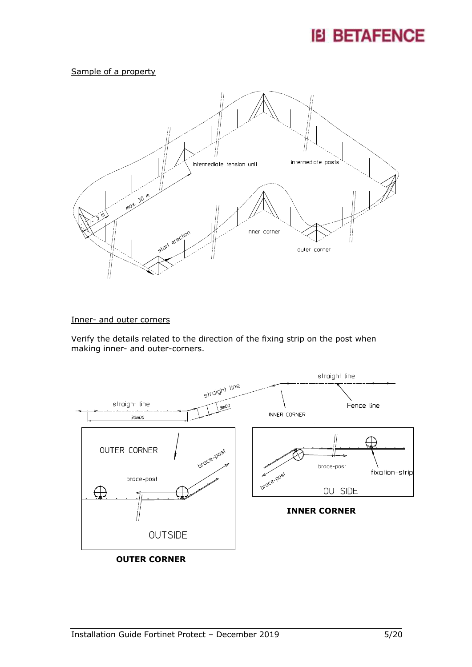### Sample of a property



#### Inner- and outer corners

Verify the details related to the direction of the fixing strip on the post when making inner- and outer-corners.

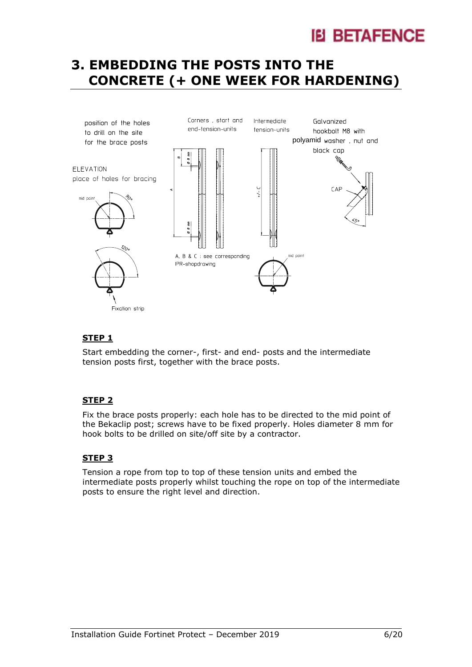### **3. EMBEDDING THE POSTS INTO THE CONCRETE (+ ONE WEEK FOR HARDENING)**



### **STEP 1**

Start embedding the corner-, first- and end- posts and the intermediate tension posts first, together with the brace posts.

### **STEP 2**

Fix the brace posts properly: each hole has to be directed to the mid point of the Bekaclip post; screws have to be fixed properly. Holes diameter 8 mm for hook bolts to be drilled on site/off site by a contractor.

### **STEP 3**

Tension a rope from top to top of these tension units and embed the intermediate posts properly whilst touching the rope on top of the intermediate posts to ensure the right level and direction.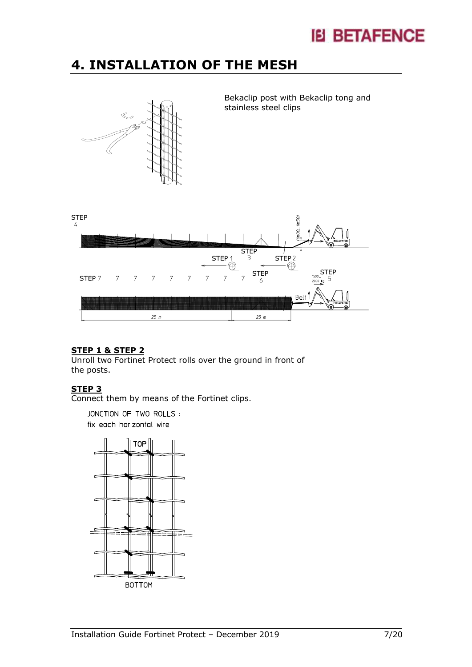## **4. INSTALLATION OF THE MESH**



Bekaclip post with Bekaclip tong and stainless steel clips



### **STEP 1 & STEP 2**

Unroll two Fortinet Protect rolls over the ground in front of the posts.

### **STEP 3**

Connect them by means of the Fortinet clips.

JONCTION OF TWO ROLLS : fix each horizontal wire

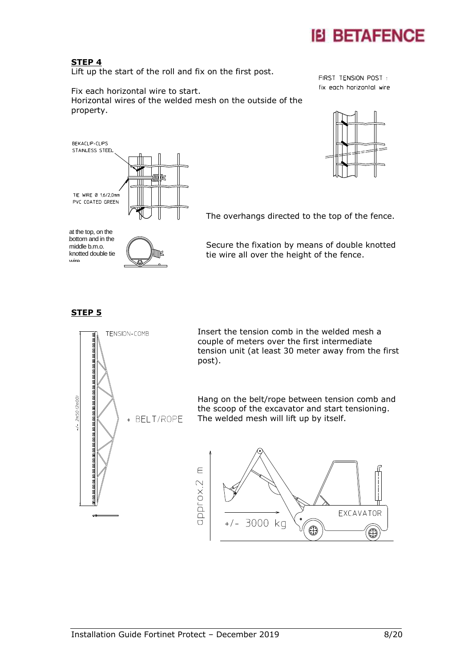

#### **STEP 4**

Lift up the start of the roll and fix on the first post.

Fix each horizontal wire to start. Horizontal wires of the welded mesh on the outside of the property.

FIRST TENSION POST: fix each horizontal wire



The overhangs directed to the top of the fence.

Secure the fixation by means of double knotted tie wire all over the height of the fence.

**STEP 5**

knotted double tie

wire



Insert the tension comb in the welded mesh a couple of meters over the first intermediate tension unit (at least 30 meter away from the first post).

Hang on the belt/rope between tension comb and the scoop of the excavator and start tensioning. The welded mesh will lift up by itself.

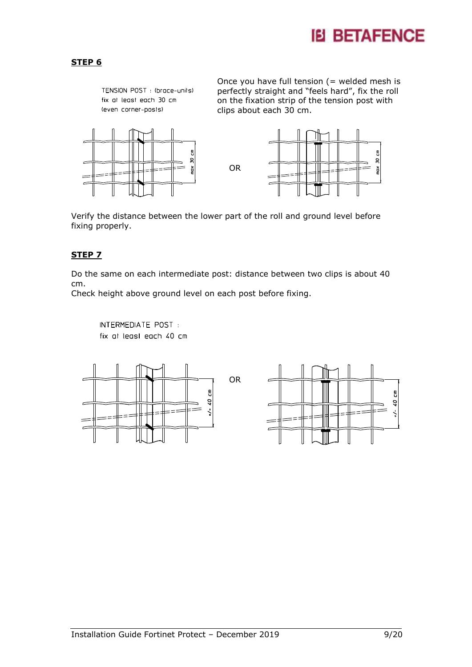

### **STEP 6**



Verify the distance between the lower part of the roll and ground level before fixing properly.

### **STEP 7**

Do the same on each intermediate post: distance between two clips is about 40 cm.

Check height above ground level on each post before fixing.

**INTERMEDIATE POST:** fix at least each 40 cm

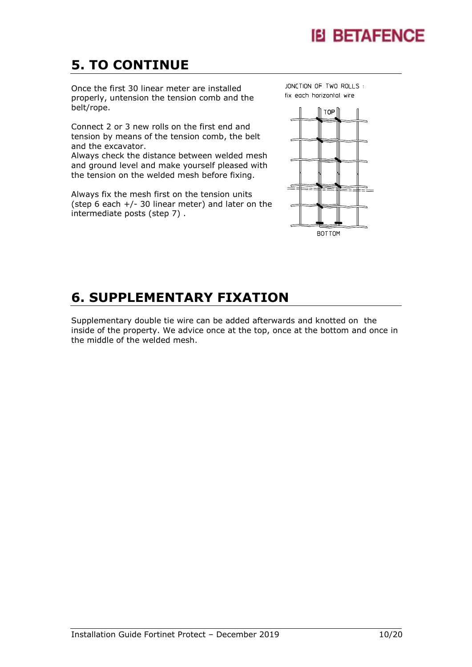## **5. TO CONTINUE**

Once the first 30 linear meter are installed properly, untension the tension comb and the belt/rope.

Connect 2 or 3 new rolls on the first end and tension by means of the tension comb, the belt and the excavator.

Always check the distance between welded mesh and ground level and make yourself pleased with the tension on the welded mesh before fixing.

Always fix the mesh first on the tension units (step 6 each  $+/-$  30 linear meter) and later on the intermediate posts (step 7) .

JONCTION OF TWO ROLLS: fix each horizontal wire



## **6. SUPPLEMENTARY FIXATION**

Supplementary double tie wire can be added afterwards and knotted on the inside of the property. We advice once at the top, once at the bottom and once in the middle of the welded mesh.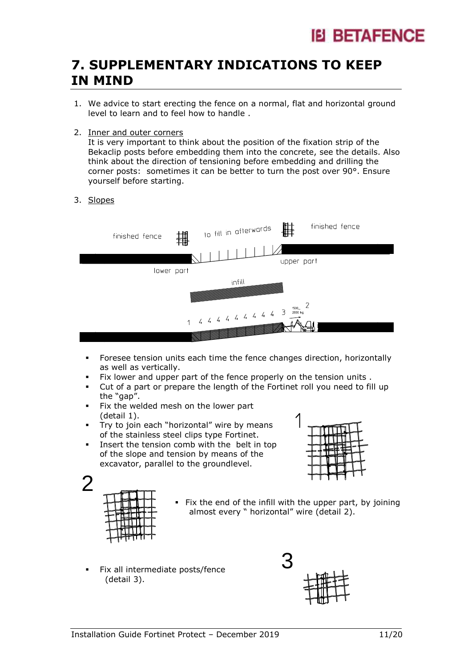## **7. SUPPLEMENTARY INDICATIONS TO KEEP IN MIND**

- 1. We advice to start erecting the fence on a normal, flat and horizontal ground level to learn and to feel how to handle .
- 2. Inner and outer corners

It is very important to think about the position of the fixation strip of the Bekaclip posts before embedding them into the concrete, see the details. Also think about the direction of tensioning before embedding and drilling the corner posts: sometimes it can be better to turn the post over 90°. Ensure yourself before starting.

3. Slopes



- Foresee tension units each time the fence changes direction, horizontally as well as vertically.
- Fix lower and upper part of the fence properly on the tension units .
- Cut of a part or prepare the length of the Fortinet roll you need to fill up the "gap".
- Fix the welded mesh on the lower part (detail 1).
- Try to join each "horizontal" wire by means of the stainless steel clips type Fortinet.
- Insert the tension comb with the belt in top of the slope and tension by means of the excavator, parallel to the groundlevel.





- $\blacksquare$  Fix the end of the infill with the upper part, by joining almost every " horizontal" wire (detail 2).
- Fix all intermediate posts/fence (detail 3).

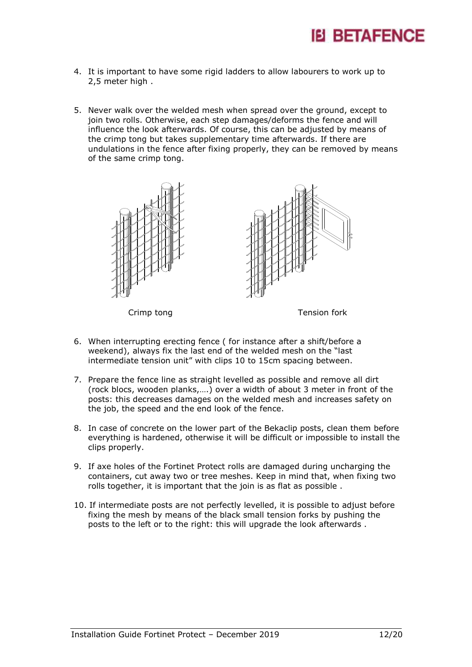

- 4. It is important to have some rigid ladders to allow labourers to work up to 2,5 meter high .
- 5. Never walk over the welded mesh when spread over the ground, except to join two rolls. Otherwise, each step damages/deforms the fence and will influence the look afterwards. Of course, this can be adjusted by means of the crimp tong but takes supplementary time afterwards. If there are undulations in the fence after fixing properly, they can be removed by means of the same crimp tong.



- 6. When interrupting erecting fence ( for instance after a shift/before a weekend), always fix the last end of the welded mesh on the "last intermediate tension unit" with clips 10 to 15cm spacing between.
- 7. Prepare the fence line as straight levelled as possible and remove all dirt (rock blocs, wooden planks,….) over a width of about 3 meter in front of the posts: this decreases damages on the welded mesh and increases safety on the job, the speed and the end look of the fence.
- 8. In case of concrete on the lower part of the Bekaclip posts, clean them before everything is hardened, otherwise it will be difficult or impossible to install the clips properly.
- 9. If axe holes of the Fortinet Protect rolls are damaged during uncharging the containers, cut away two or tree meshes. Keep in mind that, when fixing two rolls together, it is important that the join is as flat as possible .
- 10. If intermediate posts are not perfectly levelled, it is possible to adjust before fixing the mesh by means of the black small tension forks by pushing the posts to the left or to the right: this will upgrade the look afterwards .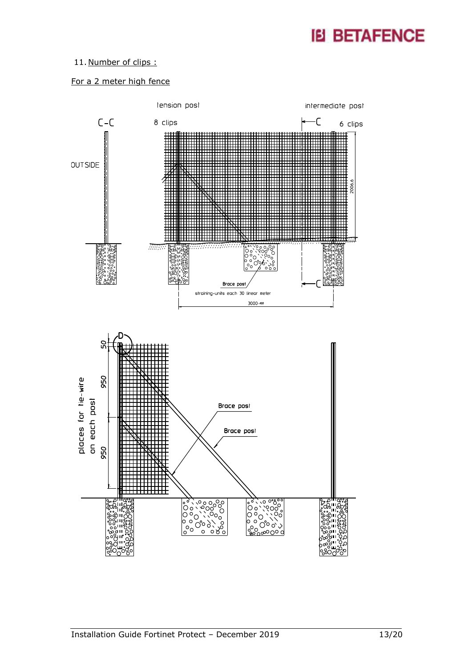### 11. Number of clips :

For a 2 meter high fence

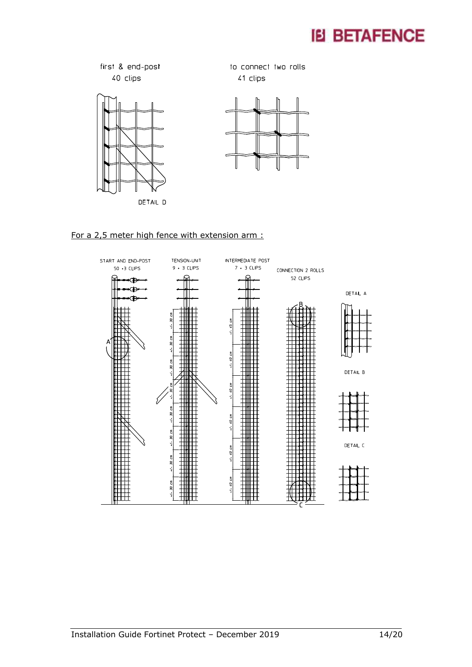





### For a 2,5 meter high fence with extension arm :

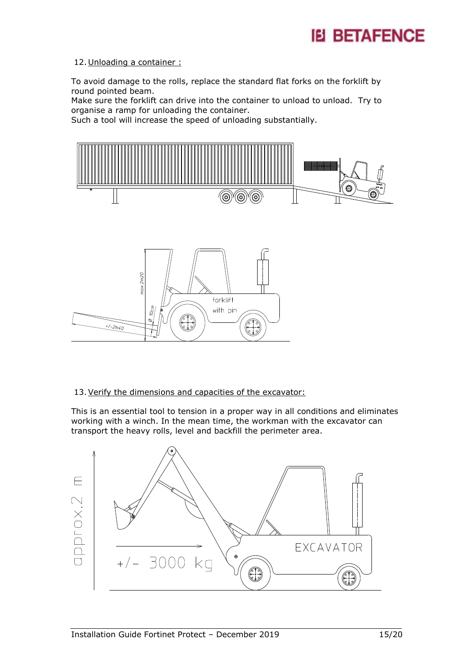

#### 12. Unloading a container :

To avoid damage to the rolls, replace the standard flat forks on the forklift by round pointed beam.

Make sure the forklift can drive into the container to unload to unload. Try to organise a ramp for unloading the container.

Such a tool will increase the speed of unloading substantially.



13. Verify the dimensions and capacities of the excavator:

This is an essential tool to tension in a proper way in all conditions and eliminates working with a winch. In the mean time, the workman with the excavator can transport the heavy rolls, level and backfill the perimeter area.

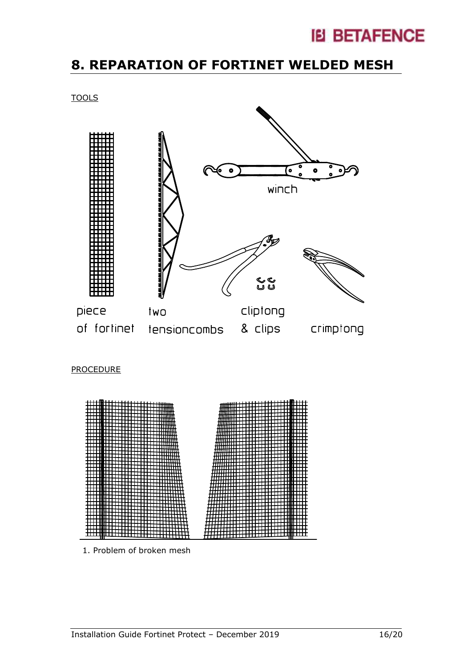### **8. REPARATION OF FORTINET WELDED MESH**



1. Problem of broken mesh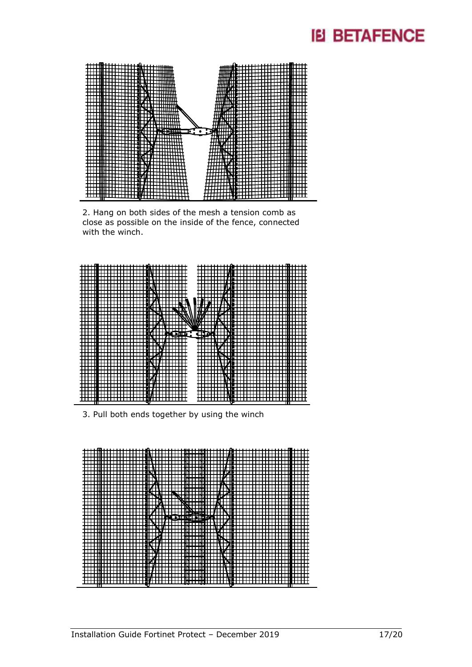

2. Hang on both sides of the mesh a tension comb as close as possible on the inside of the fence, connected with the winch.



3. Pull both ends together by using the winch

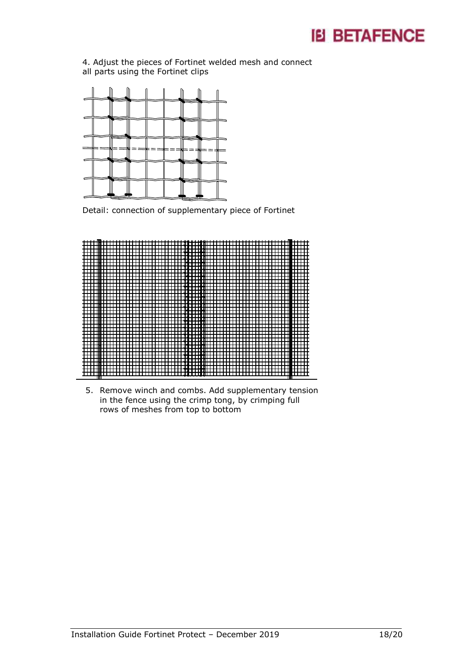4. Adjust the pieces of Fortinet welded mesh and connect all parts using the Fortinet clips



Detail: connection of supplementary piece of Fortinet



5. Remove winch and combs. Add supplementary tension in the fence using the crimp tong, by crimping full rows of meshes from top to bottom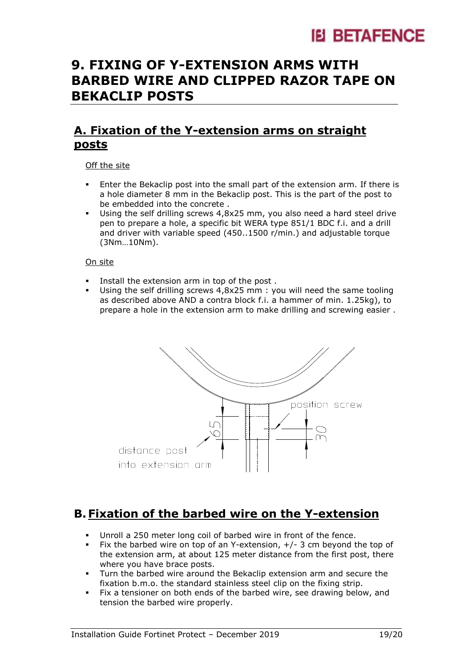### **9. FIXING OF Y-EXTENSION ARMS WITH BARBED WIRE AND CLIPPED RAZOR TAPE ON BEKACLIP POSTS**

### **A. Fixation of the Y-extension arms on straight posts**

#### Off the site

- Enter the Bekaclip post into the small part of the extension arm. If there is a hole diameter 8 mm in the Bekaclip post. This is the part of the post to be embedded into the concrete .
- Using the self drilling screws 4,8x25 mm, you also need a hard steel drive pen to prepare a hole, a specific bit WERA type 851/1 BDC f.i. and a drill and driver with variable speed (450..1500 r/min.) and adjustable torque (3Nm…10Nm).

#### On site

- Install the extension arm in top of the post .
- Using the self drilling screws 4,8x25 mm : you will need the same tooling as described above AND a contra block f.i. a hammer of min. 1.25kg), to prepare a hole in the extension arm to make drilling and screwing easier .



### **B.Fixation of the barbed wire on the Y-extension**

- Unroll a 250 meter long coil of barbed wire in front of the fence.
- Fix the barbed wire on top of an Y-extension,  $+/- 3$  cm beyond the top of the extension arm, at about 125 meter distance from the first post, there where you have brace posts.
- Turn the barbed wire around the Bekaclip extension arm and secure the fixation b.m.o. the standard stainless steel clip on the fixing strip.
- Fix a tensioner on both ends of the barbed wire, see drawing below, and tension the barbed wire properly.